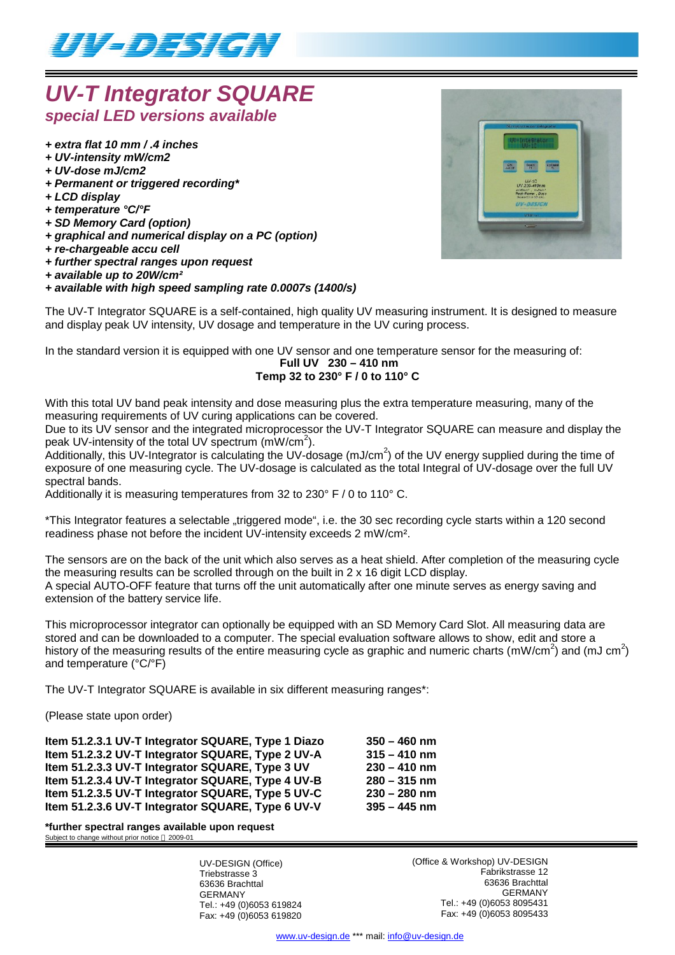

# *UV-T Integrator SQUARE special LED versions available*

- *+ extra flat 10 mm / .4 inches*
- *+ UV-intensity mW/cm2*
- *+ UV-dose mJ/cm2*
- *+ Permanent or triggered recording\**
- *+ LCD display*
- *+ temperature °C/°F*
- *+ SD Memory Card (option)*
- *+ graphical and numerical display on a PC (option)*
- *+ re-chargeable accu cell*
- *+ further spectral ranges upon request*
- *+ available up to 20W/cm²*

## *+ available with high speed sampling rate 0.0007s (1400/s)*



The UV-T Integrator SQUARE is a self-contained, high quality UV measuring instrument. It is designed to measure and display peak UV intensity, UV dosage and temperature in the UV curing process.

In the standard version it is equipped with one UV sensor and one temperature sensor for the measuring of:

#### **Full UV 230 – 410 nm Temp 32 to 230° F / 0 to 110° C**

With this total UV band peak intensity and dose measuring plus the extra temperature measuring, many of the measuring requirements of UV curing applications can be covered.

Due to its UV sensor and the integrated microprocessor the UV-T Integrator SQUARE can measure and display the peak UV-intensity of the total UV spectrum  $(mW/cm<sup>2</sup>)$ .

.<br>Additionally, this UV-Integrator is calculating the UV-dosage (mJ/cm<sup>2</sup>) of the UV energy supplied during the time of exposure of one measuring cycle. The UV-dosage is calculated as the total Integral of UV-dosage over the full UV spectral bands.

Additionally it is measuring temperatures from 32 to 230° F / 0 to 110° C.

\*This Integrator features a selectable "triggered mode", i.e. the 30 sec recording cycle starts within a 120 second readiness phase not before the incident UV-intensity exceeds 2 mW/cm².

The sensors are on the back of the unit which also serves as a heat shield. After completion of the measuring cycle the measuring results can be scrolled through on the built in 2 x 16 digit LCD display. A special AUTO-OFF feature that turns off the unit automatically after one minute serves as energy saving and extension of the battery service life.

This microprocessor integrator can optionally be equipped with an SD Memory Card Slot. All measuring data are stored and can be downloaded to a computer. The special evaluation software allows to show, edit and store a history of the measuring results of the entire measuring cycle as graphic and numeric charts (mW/cm<sup>2</sup>) and (mJ cm<sup>2</sup>) and temperature (°C/°F)

The UV-T Integrator SQUARE is available in six different measuring ranges\*:

(Please state upon order)

**Item 51.2.3.1 UV-T Integrator SQUARE, Type 1 Diazo 350 – 460 nm Item 51.2.3.2 UV-T Integrator SQUARE, Type 2 UV-A 315 – 410 nm Item 51.2.3.3 UV-T Integrator SQUARE, Type 3 UV 230 – 410 nm Item 51.2.3.4 UV-T Integrator SQUARE, Type 4 UV-B 280 – 315 nm Item 51.2.3.5 UV-T Integrator SQUARE, Type 5 UV-C 230 – 280 nm Item 51.2.3.6 UV-T Integrator SQUARE, Type 6 UV-V 395 – 445 nm**

**\*further spectral ranges available upon request** Subject to change without prior notice @ 2009-01

> UV-DESIGN (Office) Triebstrasse 3 63636 Brachttal GERMANY Tel.: +49 (0)6053 619824 Fax: +49 (0)6053 619820

(Office & Workshop) UV-DESIGN Fabrikstrasse 12 63636 Brachttal GERMANY Tel.: +49 (0)6053 8095431 Fax: +49 (0)6053 8095433

www.uv-design.de \*\*\* mail: info@uv-design.de